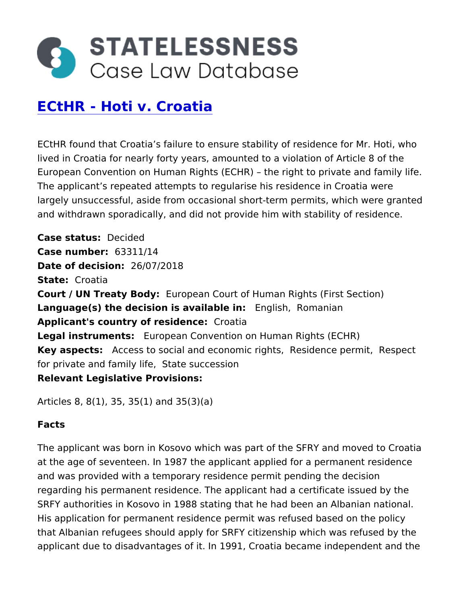# [ECtHR - Hoti v. C](https://caselaw.statelessness.eu/caselaw/ecthr-hoti-v-croatia)roatia

ECtHR found that Croatia s failure to ensure stability of residenc lived in Croatia for nearly forty years, amounted to a violation of European Convention on Human Rights (ECHR) the right to priva The applicant s repeated attempts to regularise his residence in largely unsuccessful, aside from occasional short-term permits, w and withdrawn sporadically, and did not provide him with stability

Case status ecided  $Case$  number 63311/14 Date of decision  $/07/2018$ State Croatia Court / UN Treaty BEdyopean Court of Human Rights (First Section Language(s) the decision is avail  $E$  bologelight Romanian Applicant's country of residemocaetia Legal instrument European Convention on Human Rights (ECHR) Key aspects Access to social and economics indeptuse per Remist pect for private and fam **State esuccession** Relevant Legislative Provisions

```
Articles 8, 8(1), 35, 35(1) and 35(3)(a)
```
Facts

The applicant was born in Kosovo which was part of the SFRY and at the age of seventeen. In 1987 the applicant applied for a perm and was provided with a temporary residence permit pending the regarding his permanent residence. The applicant had a certificat SRFY authorities in Kosovo in 1988 stating that he had been an A His application for permanent residence permit was refused based that Albanian refugees should apply for SRFY citizenship which w applicant due to disadvantages of it. In 1991, Croatia became ind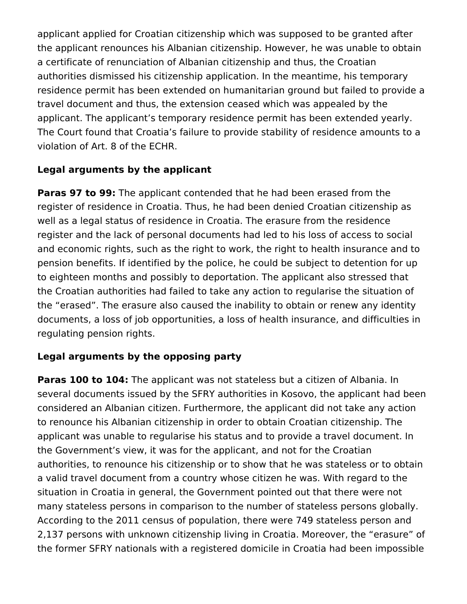applicant applied for Croatian citizenship which was supposed to be granted after the applicant renounces his Albanian citizenship. However, he was unable to obtain a certificate of renunciation of Albanian citizenship and thus, the Croatian authorities dismissed his citizenship application. In the meantime, his temporary residence permit has been extended on humanitarian ground but failed to provide a travel document and thus, the extension ceased which was appealed by the applicant. The applicant's temporary residence permit has been extended yearly. The Court found that Croatia's failure to provide stability of residence amounts to a violation of Art. 8 of the ECHR.

# **Legal arguments by the applicant**

**Paras 97 to 99:** The applicant contended that he had been erased from the register of residence in Croatia. Thus, he had been denied Croatian citizenship as well as a legal status of residence in Croatia. The erasure from the residence register and the lack of personal documents had led to his loss of access to social and economic rights, such as the right to work, the right to health insurance and to pension benefits. If identified by the police, he could be subject to detention for up to eighteen months and possibly to deportation. The applicant also stressed that the Croatian authorities had failed to take any action to regularise the situation of the "erased". The erasure also caused the inability to obtain or renew any identity documents, a loss of job opportunities, a loss of health insurance, and difficulties in regulating pension rights.

# **Legal arguments by the opposing party**

**Paras 100 to 104:** The applicant was not stateless but a citizen of Albania. In several documents issued by the SFRY authorities in Kosovo, the applicant had been considered an Albanian citizen. Furthermore, the applicant did not take any action to renounce his Albanian citizenship in order to obtain Croatian citizenship. The applicant was unable to regularise his status and to provide a travel document. In the Government's view, it was for the applicant, and not for the Croatian authorities, to renounce his citizenship or to show that he was stateless or to obtain a valid travel document from a country whose citizen he was. With regard to the situation in Croatia in general, the Government pointed out that there were not many stateless persons in comparison to the number of stateless persons globally. According to the 2011 census of population, there were 749 stateless person and 2,137 persons with unknown citizenship living in Croatia. Moreover, the "erasure" of the former SFRY nationals with a registered domicile in Croatia had been impossible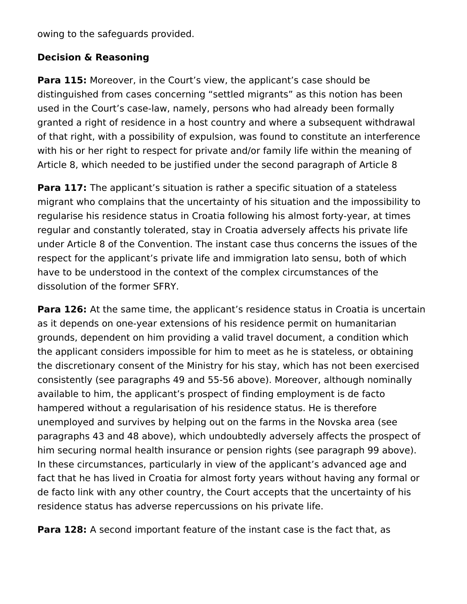owing to the safeguards provided.

## **Decision & Reasoning**

**Para 115:** Moreover, in the Court's view, the applicant's case should be distinguished from cases concerning "settled migrants" as this notion has been used in the Court's case-law, namely, persons who had already been formally granted a right of residence in a host country and where a subsequent withdrawal of that right, with a possibility of expulsion, was found to constitute an interference with his or her right to respect for private and/or family life within the meaning of Article 8, which needed to be justified under the second paragraph of Article 8

**Para 117:** The applicant's situation is rather a specific situation of a stateless migrant who complains that the uncertainty of his situation and the impossibility to regularise his residence status in Croatia following his almost forty-year, at times regular and constantly tolerated, stay in Croatia adversely affects his private life under Article 8 of the Convention. The instant case thus concerns the issues of the respect for the applicant's private life and immigration lato sensu, both of which have to be understood in the context of the complex circumstances of the dissolution of the former SFRY.

**Para 126:** At the same time, the applicant's residence status in Croatia is uncertain as it depends on one-year extensions of his residence permit on humanitarian grounds, dependent on him providing a valid travel document, a condition which the applicant considers impossible for him to meet as he is stateless, or obtaining the discretionary consent of the Ministry for his stay, which has not been exercised consistently (see paragraphs 49 and 55‑56 above). Moreover, although nominally available to him, the applicant's prospect of finding employment is de facto hampered without a regularisation of his residence status. He is therefore unemployed and survives by helping out on the farms in the Novska area (see paragraphs 43 and 48 above), which undoubtedly adversely affects the prospect of him securing normal health insurance or pension rights (see paragraph 99 above). In these circumstances, particularly in view of the applicant's advanced age and fact that he has lived in Croatia for almost forty years without having any formal or de facto link with any other country, the Court accepts that the uncertainty of his residence status has adverse repercussions on his private life.

**Para 128:** A second important feature of the instant case is the fact that, as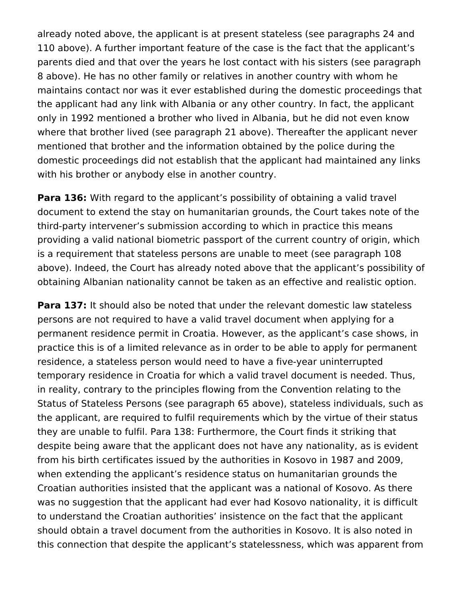already noted above, the applicant is at present stateless (see paragraphs 24 and 110 above). A further important feature of the case is the fact that the applicant's parents died and that over the years he lost contact with his sisters (see paragraph 8 above). He has no other family or relatives in another country with whom he maintains contact nor was it ever established during the domestic proceedings that the applicant had any link with Albania or any other country. In fact, the applicant only in 1992 mentioned a brother who lived in Albania, but he did not even know where that brother lived (see paragraph 21 above). Thereafter the applicant never mentioned that brother and the information obtained by the police during the domestic proceedings did not establish that the applicant had maintained any links with his brother or anybody else in another country.

**Para 136:** With regard to the applicant's possibility of obtaining a valid travel document to extend the stay on humanitarian grounds, the Court takes note of the third-party intervener's submission according to which in practice this means providing a valid national biometric passport of the current country of origin, which is a requirement that stateless persons are unable to meet (see paragraph 108 above). Indeed, the Court has already noted above that the applicant's possibility of obtaining Albanian nationality cannot be taken as an effective and realistic option.

**Para 137:** It should also be noted that under the relevant domestic law stateless persons are not required to have a valid travel document when applying for a permanent residence permit in Croatia. However, as the applicant's case shows, in practice this is of a limited relevance as in order to be able to apply for permanent residence, a stateless person would need to have a five-year uninterrupted temporary residence in Croatia for which a valid travel document is needed. Thus, in reality, contrary to the principles flowing from the Convention relating to the Status of Stateless Persons (see paragraph 65 above), stateless individuals, such as the applicant, are required to fulfil requirements which by the virtue of their status they are unable to fulfil. Para 138: Furthermore, the Court finds it striking that despite being aware that the applicant does not have any nationality, as is evident from his birth certificates issued by the authorities in Kosovo in 1987 and 2009, when extending the applicant's residence status on humanitarian grounds the Croatian authorities insisted that the applicant was a national of Kosovo. As there was no suggestion that the applicant had ever had Kosovo nationality, it is difficult to understand the Croatian authorities' insistence on the fact that the applicant should obtain a travel document from the authorities in Kosovo. It is also noted in this connection that despite the applicant's statelessness, which was apparent from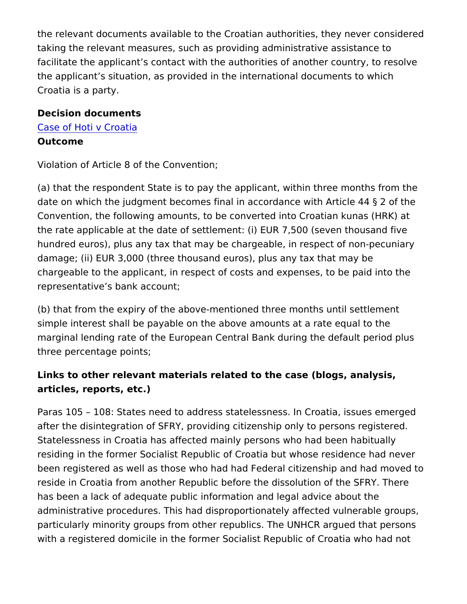the relevant documents available to the Croatian authorities, they taking the relevant measures, such as providing administrative as facilitate the applicant s contact with the authorities of another c the applicant s situation, as provided in the international docume Croatia is a party.

Decision documents [Case of Hoti v](https://caselaw.statelessness.eu/sites/default/files/decisions/CASE%20OF%20HOTI%20v.%20CROATIA.pdf) Croatia Outcome

Violation of Article 8 of the Convention;

(a) that the respondent State is to pay the applicant, within three date on which the judgment becomes final in accordance with Arti Convention, the following amounts, to be converted into Croatian the rate applicable at the date of settlement: (i) EUR 7,500 (seven the thousand five results find a hundred euros), plus any tax that may be chargeable, in respect of damage; (ii) EUR 3,000 (three thousand euros), plus any tax that chargeable to the applicant, in respect of costs and expenses, to representative s bank account;

(b) that from the expiry of the above-mentioned three months unti simple interest shall be payable on the above amounts at a rate e marginal lending rate of the European Central Bank during the de three percentage points;

Links to other relevant materials related to the case (blogs, analy articles, reports, etc.)

Paras 105 108: States need to address statelessness. In Croatia after the disintegration of SFRY, providing citizenship only to per Statelessness in Croatia has affected mainly persons who had been residing in the former Socialist Republic of Croatia but whose res been registered as well as those who had had Federal citizenship reside in Croatia from another Republic before the dissolution of has been a lack of adequate public information and legal advice a administrative procedures. This had disproportionately affected v particularly minority groups from other republics. The UNHCR arg with a registered domicile in the former Socialist Republic of Cro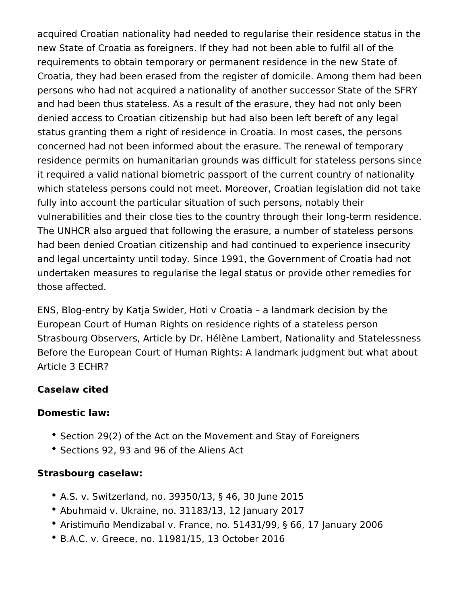acquired Croatian nationality had needed to regularise their residence status in the new State of Croatia as foreigners. If they had not been able to fulfil all of the requirements to obtain temporary or permanent residence in the new State of Croatia, they had been erased from the register of domicile. Among them had been persons who had not acquired a nationality of another successor State of the SFRY and had been thus stateless. As a result of the erasure, they had not only been denied access to Croatian citizenship but had also been left bereft of any legal status granting them a right of residence in Croatia. In most cases, the persons concerned had not been informed about the erasure. The renewal of temporary residence permits on humanitarian grounds was difficult for stateless persons since it required a valid national biometric passport of the current country of nationality which stateless persons could not meet. Moreover, Croatian legislation did not take fully into account the particular situation of such persons, notably their vulnerabilities and their close ties to the country through their long-term residence. The UNHCR also argued that following the erasure, a number of stateless persons had been denied Croatian citizenship and had continued to experience insecurity and legal uncertainty until today. Since 1991, the Government of Croatia had not undertaken measures to regularise the legal status or provide other remedies for those affected.

ENS, Blog-entry by Katja Swider, Hoti v Croatia – a landmark decision by the European Court of Human Rights on residence rights of a stateless person Strasbourg Observers, Article by Dr. Hélène Lambert, Nationality and Statelessness Before the European Court of Human Rights: A landmark judgment but what about Article 3 ECHR?

# **Caselaw cited**

### **Domestic law:**

- Section 29(2) of the Act on the Movement and Stay of Foreigners
- Sections 92, 93 and 96 of the Aliens Act

### **Strasbourg caselaw:**

- A.S. v. Switzerland, no. 39350/13, § 46, 30 June 2015
- Abuhmaid v. Ukraine, no. 31183/13, 12 January 2017
- Aristimuño Mendizabal v. France, no. 51431/99, § 66, 17 January 2006
- B.A.C. v. Greece, no. 11981/15, 13 October 2016